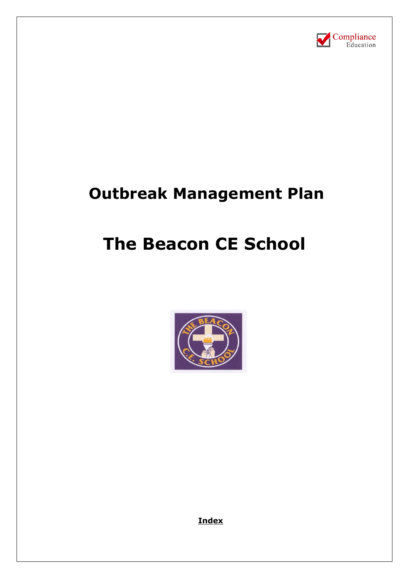

# **Outbreak Management Plan**

# **The Beacon CE School**



**Index**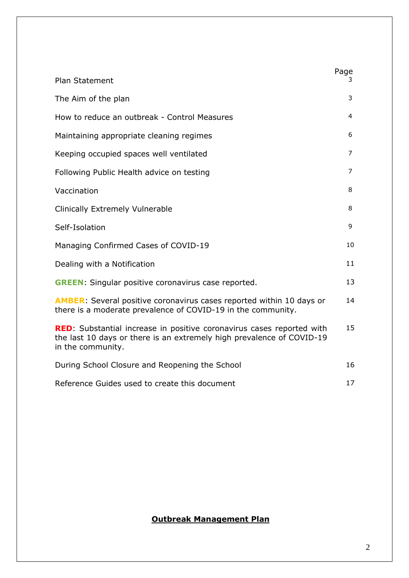| <b>Plan Statement</b>                                                                                                                                                       | Page<br>3. |
|-----------------------------------------------------------------------------------------------------------------------------------------------------------------------------|------------|
|                                                                                                                                                                             |            |
| The Aim of the plan                                                                                                                                                         | 3          |
| How to reduce an outbreak - Control Measures                                                                                                                                | 4          |
| Maintaining appropriate cleaning regimes                                                                                                                                    | 6          |
| Keeping occupied spaces well ventilated                                                                                                                                     | 7          |
| Following Public Health advice on testing                                                                                                                                   | 7          |
| Vaccination                                                                                                                                                                 | 8          |
| <b>Clinically Extremely Vulnerable</b>                                                                                                                                      | 8          |
| Self-Isolation                                                                                                                                                              | 9          |
| Managing Confirmed Cases of COVID-19                                                                                                                                        | 10         |
| Dealing with a Notification                                                                                                                                                 | 11         |
| <b>GREEN:</b> Singular positive coronavirus case reported.                                                                                                                  | 13         |
| <b>AMBER:</b> Several positive coronavirus cases reported within 10 days or<br>there is a moderate prevalence of COVID-19 in the community.                                 | 14         |
| <b>RED</b> : Substantial increase in positive coronavirus cases reported with<br>the last 10 days or there is an extremely high prevalence of COVID-19<br>in the community. | 15         |
| During School Closure and Reopening the School                                                                                                                              | 16         |
| Reference Guides used to create this document                                                                                                                               | 17         |

# **Outbreak Management Plan**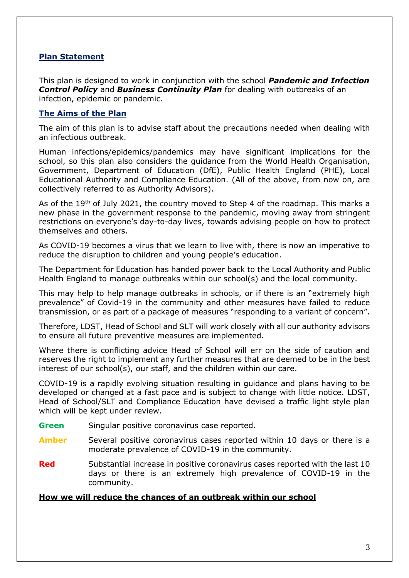## **Plan Statement**

This plan is designed to work in conjunction with the school *Pandemic and Infection*  **Control Policy** and **Business Continuity Plan** for dealing with outbreaks of an infection, epidemic or pandemic.

# **The Aims of the Plan**

The aim of this plan is to advise staff about the precautions needed when dealing with an infectious outbreak.

Human infections/epidemics/pandemics may have significant implications for the school, so this plan also considers the guidance from the World Health Organisation, Government, Department of Education (DfE), Public Health England (PHE), Local Educational Authority and Compliance Education. (All of the above, from now on, are collectively referred to as Authority Advisors).

As of the 19<sup>th</sup> of July 2021, the country moved to Step 4 of the roadmap. This marks a new phase in the government response to the pandemic, moving away from stringent restrictions on everyone's day-to-day lives, towards advising people on how to protect themselves and others.

As COVID-19 becomes a virus that we learn to live with, there is now an imperative to reduce the disruption to children and young people's education.

The Department for Education has handed power back to the Local Authority and Public Health England to manage outbreaks within our school(s) and the local community.

This may help to help manage outbreaks in schools, or if there is an "extremely high prevalence" of Covid-19 in the community and other measures have failed to reduce transmission, or as part of a package of measures "responding to a variant of concern".

Therefore, LDST, Head of School and SLT will work closely with all our authority advisors to ensure all future preventive measures are implemented.

Where there is conflicting advice Head of School will err on the side of caution and reserves the right to implement any further measures that are deemed to be in the best interest of our school(s), our staff, and the children within our care.

COVID-19 is a rapidly evolving situation resulting in guidance and plans having to be developed or changed at a fast pace and is subject to change with little notice. LDST, Head of School/SLT and Compliance Education have devised a traffic light style plan which will be kept under review.

- **Green** Singular positive coronavirus case reported.
- **Amber** Several positive coronavirus cases reported within 10 days or there is a moderate prevalence of COVID-19 in the community.
- **Red** Substantial increase in positive coronavirus cases reported with the last 10 days or there is an extremely high prevalence of COVID-19 in the community.

#### **How we will reduce the chances of an outbreak within our school**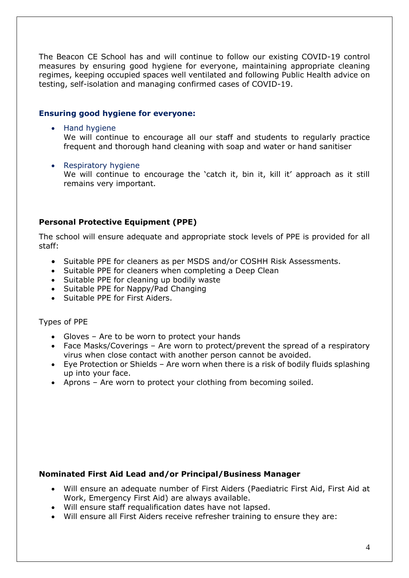The Beacon CE School has and will continue to follow our existing COVID-19 control measures by ensuring good hygiene for everyone, maintaining appropriate cleaning regimes, keeping occupied spaces well ventilated and following Public Health advice on testing, self-isolation and managing confirmed cases of COVID-19.

# **Ensuring good hygiene for everyone:**

• Hand hygiene

We will continue to encourage all our staff and students to regularly practice frequent and thorough hand cleaning with soap and water or hand sanitiser

• Respiratory hygiene

We will continue to encourage the 'catch it, bin it, kill it' approach as it still remains very important.

# **Personal Protective Equipment (PPE)**

The school will ensure adequate and appropriate stock levels of PPE is provided for all staff:

- Suitable PPE for cleaners as per MSDS and/or COSHH Risk Assessments.
- Suitable PPE for cleaners when completing a Deep Clean
- Suitable PPE for cleaning up bodily waste
- Suitable PPE for Nappy/Pad Changing
- Suitable PPE for First Aiders.

Types of PPE

- Gloves Are to be worn to protect your hands
- Face Masks/Coverings Are worn to protect/prevent the spread of a respiratory virus when close contact with another person cannot be avoided.
- Eye Protection or Shields Are worn when there is a risk of bodily fluids splashing up into your face.
- Aprons Are worn to protect your clothing from becoming soiled.

## **Nominated First Aid Lead and/or Principal/Business Manager**

- Will ensure an adequate number of First Aiders (Paediatric First Aid, First Aid at Work, Emergency First Aid) are always available.
- Will ensure staff requalification dates have not lapsed.
- Will ensure all First Aiders receive refresher training to ensure they are: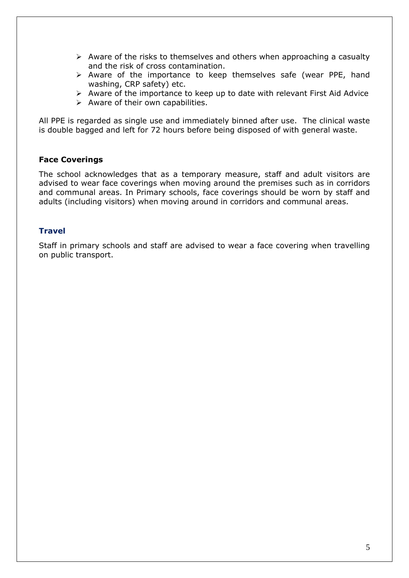- $\triangleright$  Aware of the risks to themselves and others when approaching a casualty and the risk of cross contamination.
- ➢ Aware of the importance to keep themselves safe (wear PPE, hand washing, CRP safety) etc.
- ➢ Aware of the importance to keep up to date with relevant First Aid Advice
- $\triangleright$  Aware of their own capabilities.

All PPE is regarded as single use and immediately binned after use. The clinical waste is double bagged and left for 72 hours before being disposed of with general waste.

## **Face Coverings**

The school acknowledges that as a temporary measure, staff and adult visitors are advised to wear face coverings when moving around the premises such as in corridors and communal areas. In Primary schools, face coverings should be worn by staff and adults (including visitors) when moving around in corridors and communal areas.

## **Travel**

Staff in primary schools and staff are advised to wear a face covering when travelling on public transport.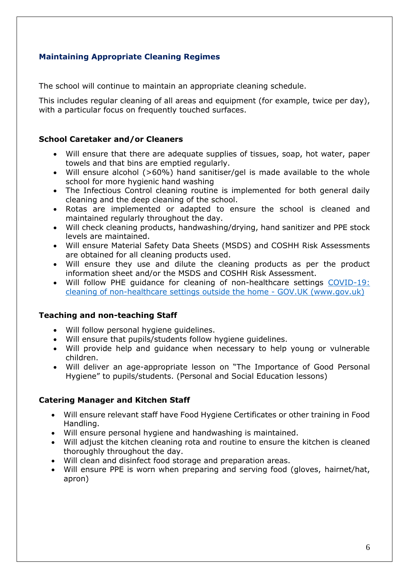# **Maintaining Appropriate Cleaning Regimes**

The school will continue to maintain an appropriate cleaning schedule.

This includes regular cleaning of all areas and equipment (for example, twice per day), with a particular focus on frequently touched surfaces.

# **School Caretaker and/or Cleaners**

- Will ensure that there are adequate supplies of tissues, soap, hot water, paper towels and that bins are emptied regularly.
- Will ensure alcohol (>60%) hand sanitiser/gel is made available to the whole school for more hygienic hand washing
- The Infectious Control cleaning routine is implemented for both general daily cleaning and the deep cleaning of the school.
- Rotas are implemented or adapted to ensure the school is cleaned and maintained regularly throughout the day.
- Will check cleaning products, handwashing/drying, hand sanitizer and PPE stock levels are maintained.
- Will ensure Material Safety Data Sheets (MSDS) and COSHH Risk Assessments are obtained for all cleaning products used.
- Will ensure they use and dilute the cleaning products as per the product information sheet and/or the MSDS and COSHH Risk Assessment.
- Will follow PHE guidance for cleaning of non-healthcare settings [COVID-19:](https://www.gov.uk/government/publications/covid-19-decontamination-in-non-healthcare-settings)  [cleaning of non-healthcare settings outside the home -](https://www.gov.uk/government/publications/covid-19-decontamination-in-non-healthcare-settings) GOV.UK (www.gov.uk)

# **Teaching and non-teaching Staff**

- Will follow personal hygiene guidelines.
- Will ensure that pupils/students follow hygiene guidelines.
- Will provide help and guidance when necessary to help young or vulnerable children.
- Will deliver an age-appropriate lesson on "The Importance of Good Personal Hygiene" to pupils/students. (Personal and Social Education lessons)

# **Catering Manager and Kitchen Staff**

- Will ensure relevant staff have Food Hygiene Certificates or other training in Food Handling.
- Will ensure personal hygiene and handwashing is maintained.
- Will adjust the kitchen cleaning rota and routine to ensure the kitchen is cleaned thoroughly throughout the day.
- Will clean and disinfect food storage and preparation areas.
- Will ensure PPE is worn when preparing and serving food (gloves, hairnet/hat, apron)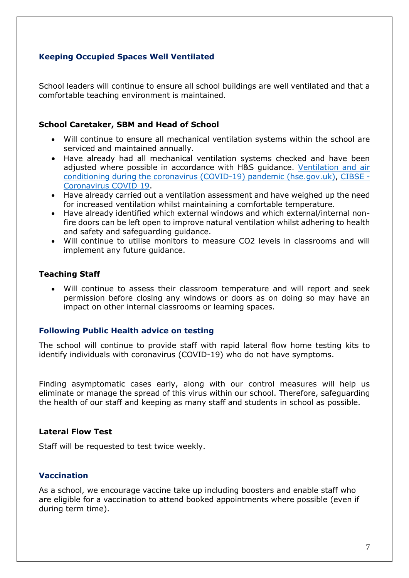# **Keeping Occupied Spaces Well Ventilated**

School leaders will continue to ensure all school buildings are well ventilated and that a comfortable teaching environment is maintained.

## **School Caretaker, SBM and Head of School**

- Will continue to ensure all mechanical ventilation systems within the school are serviced and maintained annually.
- Have already had all mechanical ventilation systems checked and have been adiusted where possible in accordance with H&S guidance. Ventilation and air [conditioning during the coronavirus \(COVID-19\) pandemic \(hse.gov.uk\),](https://www.hse.gov.uk/coronavirus/equipment-and-machinery/air-conditioning-and-ventilation/index.htm) [CIBSE -](https://www.cibse.org/coronavirus-covid-19) [Coronavirus COVID 19.](https://www.cibse.org/coronavirus-covid-19)
- Have already carried out a ventilation assessment and have weighed up the need for increased ventilation whilst maintaining a comfortable temperature.
- Have already identified which external windows and which external/internal nonfire doors can be left open to improve natural ventilation whilst adhering to health and safety and safeguarding guidance.
- Will continue to utilise monitors to measure CO2 levels in classrooms and will implement any future guidance.

## **Teaching Staff**

• Will continue to assess their classroom temperature and will report and seek permission before closing any windows or doors as on doing so may have an impact on other internal classrooms or learning spaces.

## **Following Public Health advice on testing**

The school will continue to provide staff with rapid lateral flow home testing kits to identify individuals with coronavirus (COVID-19) who do not have symptoms.

Finding asymptomatic cases early, along with our control measures will help us eliminate or manage the spread of this virus within our school. Therefore, safeguarding the health of our staff and keeping as many staff and students in school as possible.

#### **Lateral Flow Test**

Staff will be requested to test twice weekly.

## **Vaccination**

As a school, we encourage vaccine take up including boosters and enable staff who are eligible for a vaccination to attend booked appointments where possible (even if during term time).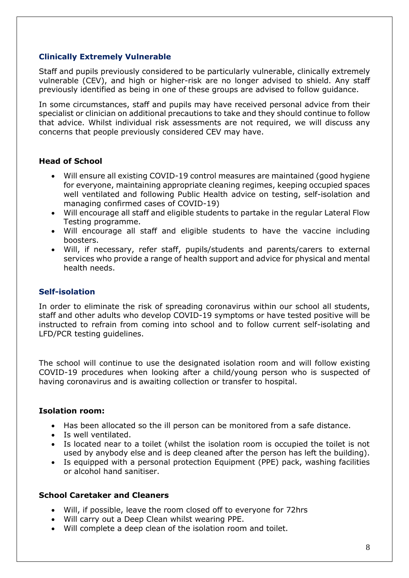# **Clinically Extremely Vulnerable**

Staff and pupils previously considered to be particularly vulnerable, clinically extremely vulnerable (CEV), and high or higher-risk are no longer advised to shield. Any staff previously identified as being in one of these groups are advised to follow guidance.

In some circumstances, staff and pupils may have received personal advice from their specialist or clinician on additional precautions to take and they should continue to follow that advice. Whilst individual risk assessments are not required, we will discuss any concerns that people previously considered CEV may have.

# **Head of School**

- Will ensure all existing COVID-19 control measures are maintained (good hygiene for everyone, maintaining appropriate cleaning regimes, keeping occupied spaces well ventilated and following Public Health advice on testing, self-isolation and managing confirmed cases of COVID-19)
- Will encourage all staff and eligible students to partake in the regular Lateral Flow Testing programme.
- Will encourage all staff and eligible students to have the vaccine including boosters.
- Will, if necessary, refer staff, pupils/students and parents/carers to external services who provide a range of health support and advice for physical and mental health needs.

# **Self-isolation**

In order to eliminate the risk of spreading coronavirus within our school all students, staff and other adults who develop COVID-19 symptoms or have tested positive will be instructed to refrain from coming into school and to follow current self-isolating and LFD/PCR testing guidelines.

The school will continue to use the designated isolation room and will follow existing COVID-19 procedures when looking after a child/young person who is suspected of having coronavirus and is awaiting collection or transfer to hospital.

## **Isolation room:**

- Has been allocated so the ill person can be monitored from a safe distance.
- Is well ventilated.
- Is located near to a toilet (whilst the isolation room is occupied the toilet is not used by anybody else and is deep cleaned after the person has left the building).
- Is equipped with a personal protection Equipment (PPE) pack, washing facilities or alcohol hand sanitiser.

## **School Caretaker and Cleaners**

- Will, if possible, leave the room closed off to everyone for 72hrs
- Will carry out a Deep Clean whilst wearing PPE.
- Will complete a deep clean of the isolation room and toilet.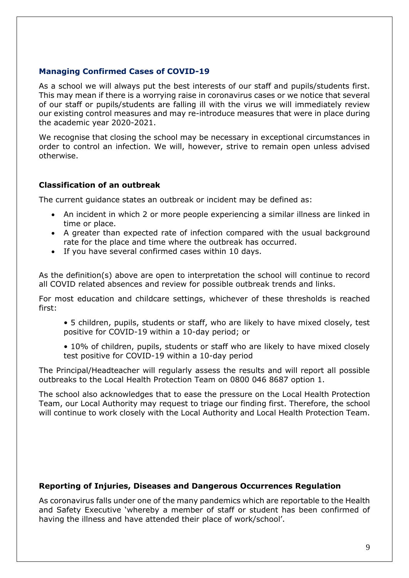# **Managing Confirmed Cases of COVID-19**

As a school we will always put the best interests of our staff and pupils/students first. This may mean if there is a worrying raise in coronavirus cases or we notice that several of our staff or pupils/students are falling ill with the virus we will immediately review our existing control measures and may re-introduce measures that were in place during the academic year 2020-2021.

We recognise that closing the school may be necessary in exceptional circumstances in order to control an infection. We will, however, strive to remain open unless advised otherwise.

# **Classification of an outbreak**

The current guidance states an outbreak or incident may be defined as:

- An incident in which 2 or more people experiencing a similar illness are linked in time or place.
- A greater than expected rate of infection compared with the usual background rate for the place and time where the outbreak has occurred.
- If you have several confirmed cases within 10 days.

As the definition(s) above are open to interpretation the school will continue to record all COVID related absences and review for possible outbreak trends and links.

For most education and childcare settings, whichever of these thresholds is reached first:

• 5 children, pupils, students or staff, who are likely to have mixed closely, test positive for COVID-19 within a 10-day period; or

• 10% of children, pupils, students or staff who are likely to have mixed closely test positive for COVID-19 within a 10-day period

The Principal/Headteacher will regularly assess the results and will report all possible outbreaks to the Local Health Protection Team on 0800 046 8687 option 1.

The school also acknowledges that to ease the pressure on the Local Health Protection Team, our Local Authority may request to triage our finding first. Therefore, the school will continue to work closely with the Local Authority and Local Health Protection Team.

## **Reporting of Injuries, Diseases and Dangerous Occurrences Regulation**

As coronavirus falls under one of the many pandemics which are reportable to the Health and Safety Executive 'whereby a member of staff or student has been confirmed of having the illness and have attended their place of work/school'.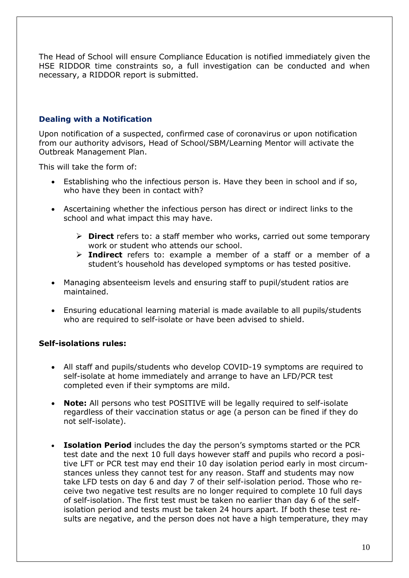The Head of School will ensure Compliance Education is notified immediately given the HSE RIDDOR time constraints so, a full investigation can be conducted and when necessary, a RIDDOR report is submitted.

# **Dealing with a Notification**

Upon notification of a suspected, confirmed case of coronavirus or upon notification from our authority advisors, Head of School/SBM/Learning Mentor will activate the Outbreak Management Plan.

This will take the form of:

- Establishing who the infectious person is. Have they been in school and if so, who have they been in contact with?
- Ascertaining whether the infectious person has direct or indirect links to the school and what impact this may have.
	- ➢ **Direct** refers to: a staff member who works, carried out some temporary work or student who attends our school.
	- ➢ **Indirect** refers to: example a member of a staff or a member of a student's household has developed symptoms or has tested positive.
- Managing absenteeism levels and ensuring staff to pupil/student ratios are maintained.
- Ensuring educational learning material is made available to all pupils/students who are required to self-isolate or have been advised to shield.

# **Self-isolations rules:**

- All staff and pupils/students who develop COVID-19 symptoms are required to self-isolate at home immediately and arrange to have an LFD/PCR test completed even if their symptoms are mild.
- **Note:** All persons who test POSITIVE will be legally required to self-isolate regardless of their vaccination status or age (a person can be fined if they do not self-isolate).
- **Isolation Period** includes the day the person's symptoms started or the PCR test date and the next 10 full days however staff and pupils who record a positive LFT or PCR test may end their 10 day isolation period early in most circumstances unless they cannot test for any reason. Staff and students may now take LFD tests on day 6 and day 7 of their self-isolation period. Those who receive two negative test results are no longer required to complete 10 full days of self-isolation. The first test must be taken no earlier than day 6 of the selfisolation period and tests must be taken 24 hours apart. If both these test results are negative, and the person does not have a high temperature, they may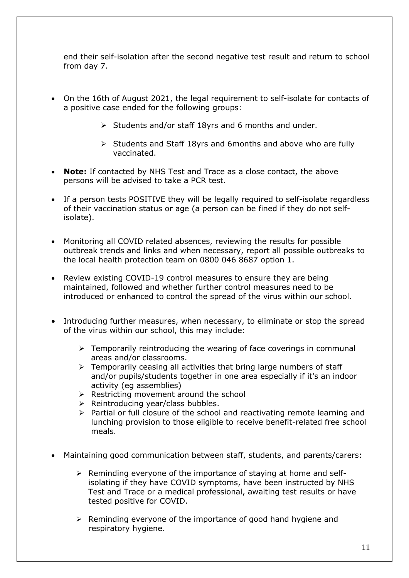end their self-isolation after the second negative test result and return to school from day 7.

- On the 16th of August 2021, the legal requirement to self-isolate for contacts of a positive case ended for the following groups:
	- ➢ Students and/or staff 18yrs and 6 months and under.
	- ➢ Students and Staff 18yrs and 6months and above who are fully vaccinated.
- **Note:** If contacted by NHS Test and Trace as a close contact, the above persons will be advised to take a PCR test.
- If a person tests POSITIVE they will be legally required to self-isolate regardless of their vaccination status or age (a person can be fined if they do not selfisolate).
- Monitoring all COVID related absences, reviewing the results for possible outbreak trends and links and when necessary, report all possible outbreaks to the local health protection team on 0800 046 8687 option 1.
- Review existing COVID-19 control measures to ensure they are being maintained, followed and whether further control measures need to be introduced or enhanced to control the spread of the virus within our school.
- Introducing further measures, when necessary, to eliminate or stop the spread of the virus within our school, this may include:
	- ➢ Temporarily reintroducing the wearing of face coverings in communal areas and/or classrooms.
	- ➢ Temporarily ceasing all activities that bring large numbers of staff and/or pupils/students together in one area especially if it's an indoor activity (eg assemblies)
	- $\triangleright$  Restricting movement around the school
	- ➢ Reintroducing year/class bubbles.
	- ➢ Partial or full closure of the school and reactivating remote learning and lunching provision to those eligible to receive benefit-related free school meals.
- Maintaining good communication between staff, students, and parents/carers:
	- $\triangleright$  Reminding everyone of the importance of staying at home and selfisolating if they have COVID symptoms, have been instructed by NHS Test and Trace or a medical professional, awaiting test results or have tested positive for COVID.
	- ➢ Reminding everyone of the importance of good hand hygiene and respiratory hygiene.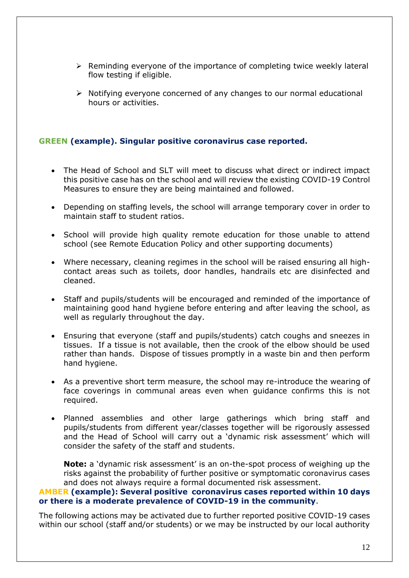- $\triangleright$  Reminding everyone of the importance of completing twice weekly lateral flow testing if eligible.
- ➢ Notifying everyone concerned of any changes to our normal educational hours or activities.

## **GREEN (example). Singular positive coronavirus case reported.**

- The Head of School and SLT will meet to discuss what direct or indirect impact this positive case has on the school and will review the existing COVID-19 Control Measures to ensure they are being maintained and followed.
- Depending on staffing levels, the school will arrange temporary cover in order to maintain staff to student ratios.
- School will provide high quality remote education for those unable to attend school (see Remote Education Policy and other supporting documents)
- Where necessary, cleaning regimes in the school will be raised ensuring all highcontact areas such as toilets, door handles, handrails etc are disinfected and cleaned.
- Staff and pupils/students will be encouraged and reminded of the importance of maintaining good hand hygiene before entering and after leaving the school, as well as regularly throughout the day.
- Ensuring that everyone (staff and pupils/students) catch coughs and sneezes in tissues. If a tissue is not available, then the crook of the elbow should be used rather than hands. Dispose of tissues promptly in a waste bin and then perform hand hygiene.
- As a preventive short term measure, the school may re-introduce the wearing of face coverings in communal areas even when guidance confirms this is not required.
- Planned assemblies and other large gatherings which bring staff and pupils/students from different year/classes together will be rigorously assessed and the Head of School will carry out a 'dynamic risk assessment' which will consider the safety of the staff and students.

**Note:** a 'dynamic risk assessment' is an on-the-spot process of weighing up the risks against the probability of further positive or symptomatic coronavirus cases and does not always require a formal documented risk assessment.

#### **AMBER (example): Several positive coronavirus cases reported within 10 days or there is a moderate prevalence of COVID-19 in the community**.

The following actions may be activated due to further reported positive COVID-19 cases within our school (staff and/or students) or we may be instructed by our local authority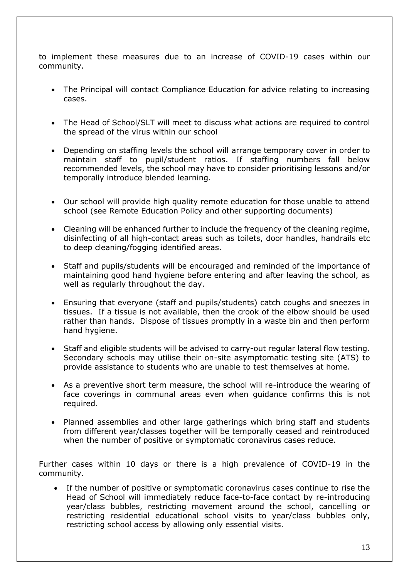to implement these measures due to an increase of COVID-19 cases within our community.

- The Principal will contact Compliance Education for advice relating to increasing cases.
- The Head of School/SLT will meet to discuss what actions are required to control the spread of the virus within our school
- Depending on staffing levels the school will arrange temporary cover in order to maintain staff to pupil/student ratios. If staffing numbers fall below recommended levels, the school may have to consider prioritising lessons and/or temporally introduce blended learning.
- Our school will provide high quality remote education for those unable to attend school (see Remote Education Policy and other supporting documents)
- Cleaning will be enhanced further to include the frequency of the cleaning regime, disinfecting of all high-contact areas such as toilets, door handles, handrails etc to deep cleaning/fogging identified areas.
- Staff and pupils/students will be encouraged and reminded of the importance of maintaining good hand hygiene before entering and after leaving the school, as well as regularly throughout the day.
- Ensuring that everyone (staff and pupils/students) catch coughs and sneezes in tissues. If a tissue is not available, then the crook of the elbow should be used rather than hands. Dispose of tissues promptly in a waste bin and then perform hand hygiene.
- Staff and eligible students will be advised to carry-out regular lateral flow testing. Secondary schools may utilise their on-site asymptomatic testing site (ATS) to provide assistance to students who are unable to test themselves at home.
- As a preventive short term measure, the school will re-introduce the wearing of face coverings in communal areas even when guidance confirms this is not required.
- Planned assemblies and other large gatherings which bring staff and students from different year/classes together will be temporally ceased and reintroduced when the number of positive or symptomatic coronavirus cases reduce.

Further cases within 10 days or there is a high prevalence of COVID-19 in the community.

• If the number of positive or symptomatic coronavirus cases continue to rise the Head of School will immediately reduce face-to-face contact by re-introducing year/class bubbles, restricting movement around the school, cancelling or restricting residential educational school visits to year/class bubbles only, restricting school access by allowing only essential visits.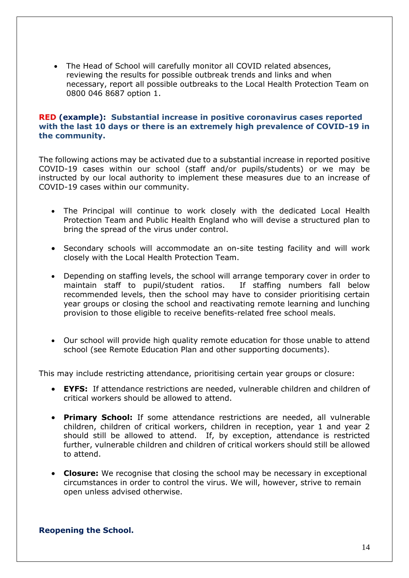• The Head of School will carefully monitor all COVID related absences, reviewing the results for possible outbreak trends and links and when necessary, report all possible outbreaks to the Local Health Protection Team on 0800 046 8687 option 1.

## **RED (example): Substantial increase in positive coronavirus cases reported with the last 10 days or there is an extremely high prevalence of COVID-19 in the community.**

The following actions may be activated due to a substantial increase in reported positive COVID-19 cases within our school (staff and/or pupils/students) or we may be instructed by our local authority to implement these measures due to an increase of COVID-19 cases within our community.

- The Principal will continue to work closely with the dedicated Local Health Protection Team and Public Health England who will devise a structured plan to bring the spread of the virus under control.
- Secondary schools will accommodate an on-site testing facility and will work closely with the Local Health Protection Team.
- Depending on staffing levels, the school will arrange temporary cover in order to maintain staff to pupil/student ratios. If staffing numbers fall below recommended levels, then the school may have to consider prioritising certain year groups or closing the school and reactivating remote learning and lunching provision to those eligible to receive benefits-related free school meals.
- Our school will provide high quality remote education for those unable to attend school (see Remote Education Plan and other supporting documents).

This may include restricting attendance, prioritising certain year groups or closure:

- **EYFS:** If attendance restrictions are needed, vulnerable children and children of critical workers should be allowed to attend.
- **Primary School:** If some attendance restrictions are needed, all vulnerable children, children of critical workers, children in reception, year 1 and year 2 should still be allowed to attend. If, by exception, attendance is restricted further, vulnerable children and children of critical workers should still be allowed to attend.
- **Closure:** We recognise that closing the school may be necessary in exceptional circumstances in order to control the virus. We will, however, strive to remain open unless advised otherwise.

#### **Reopening the School.**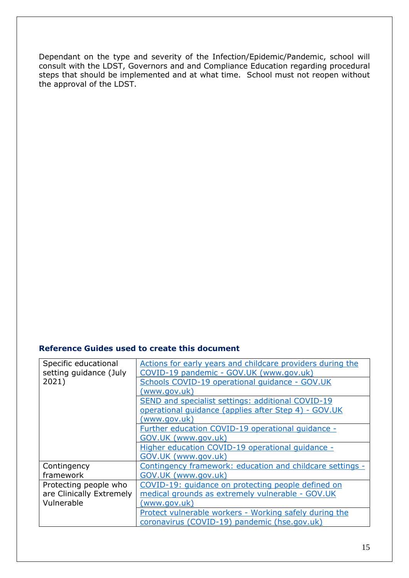Dependant on the type and severity of the Infection/Epidemic/Pandemic, school will consult with the LDST, Governors and and Compliance Education regarding procedural steps that should be implemented and at what time. School must not reopen without the approval of the LDST.

## **Reference Guides used to create this document**

| Specific educational     | Actions for early years and childcare providers during the |
|--------------------------|------------------------------------------------------------|
| setting guidance (July   | COVID-19 pandemic - GOV.UK (www.gov.uk)                    |
| 2021)                    | Schools COVID-19 operational quidance - GOV.UK             |
|                          | (www.gov.uk)                                               |
|                          | SEND and specialist settings: additional COVID-19          |
|                          | operational quidance (applies after Step 4) - GOV.UK       |
|                          | (www.gov.uk)                                               |
|                          | Further education COVID-19 operational guidance -          |
|                          | GOV.UK (www.gov.uk)                                        |
|                          | Higher education COVID-19 operational quidance -           |
|                          | GOV.UK (www.gov.uk)                                        |
| Contingency              | Contingency framework: education and childcare settings -  |
| framework                | GOV.UK (www.gov.uk)                                        |
| Protecting people who    | COVID-19: quidance on protecting people defined on         |
| are Clinically Extremely | medical grounds as extremely vulnerable - GOV.UK           |
| Vulnerable               | (www.gov.uk)                                               |
|                          | Protect vulnerable workers - Working safely during the     |
|                          | coronavirus (COVID-19) pandemic (hse.gov.uk)               |